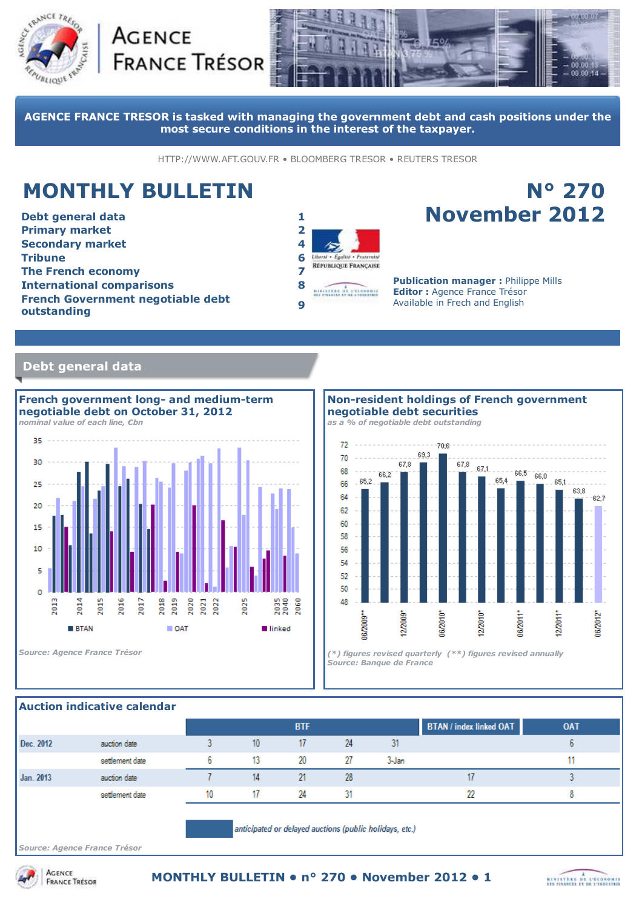





**AGENCE FRANCE TRESOR is tasked with managing the government debt and cash positions under the most secure conditions in the interest of the taxpayer.**

HTTP://WWW.AFT.GOUV.FR • BLOOMBERG TRESOR • REUTERS TRESOR

# **MONTHLY BULLETIN**

**Debt general data 1 Primary market 2 Secondary market 4 Tribune 6 The French economy 7 International comparisons 8 French Government negotiable debt outstanding <sup>9</sup>**



# **N° 270 November 2012**

**Publication manager :** Philippe Mills **Editor :** Agence France Trésor Available in Frech and English

## **Debt general data**



#### **Non-resident holdings of French government negotiable debt securities**

*as a % of negotiable debt outstanding*



### **Auction indicative calendar**

|                                                         |                 |    |    | <b>BTF</b> |    |       | <b>BTAN</b> / index linked OAT | <b>OAT</b> |
|---------------------------------------------------------|-----------------|----|----|------------|----|-------|--------------------------------|------------|
| Dec. 2012                                               | auction date    |    | 10 | 17         | 24 | 31    |                                |            |
|                                                         | settlement date | ь  | 13 | 20         | 27 | 3-Jan |                                |            |
| Jan. 2013                                               | auction date    |    | 14 | 21         | 28 |       |                                |            |
|                                                         | settlement date | 10 | 17 | 24         | 31 |       | 22                             |            |
| anticipated or delayed auctions (public holidays, etc.) |                 |    |    |            |    |       |                                |            |

*Source: Agence France Trésor*

**ACENCE** 

**FRANCE TRÉSOR** 

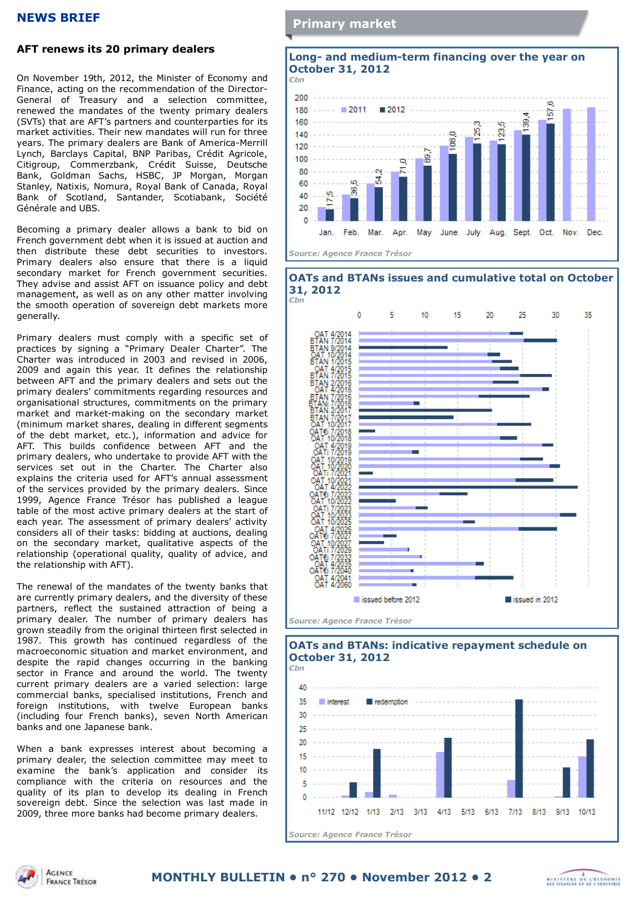#### **NEWS BRIEF**

## **AFT renews its 20 primary dealers**

On November 19th, 2012, the Minister of Economy and Finance, acting on the recommendation of the Director-General of Treasury and a selection committee, renewed the mandates of the twenty primary dealers (SVTs) that are AFT's partners and counterparties for its market activities. Their new mandates will run for three years. The primary dealers are Bank of America-Merrill Lynch, Barclays Capital, BNP Paribas, Crédit Agricole, Citigroup, Commerzbank, Crédit Suisse, Deutsche Bank, Goldman Sachs, HSBC, JP Morgan, Morgan Stanley, Natixis, Nomura, Royal Bank of Canada, Royal Bank of Scotland, Santander, Scotiabank, Société Générale and UBS.

Becoming a primary dealer allows a bank to bid on French government debt when it is issued at auction and then distribute these debt securities to investors. Primary dealers also ensure that there is a liquid secondary market for French government securities. They advise and assist AFT on issuance policy and debt management, as well as on any other matter involving the smooth operation of sovereign debt markets more generally.

Primary dealers must comply with a specific set of practices by signing a "Primary Dealer Charter". The Charter was introduced in 2003 and revised in 2006, 2009 and again this year. It defines the relationship between AFT and the primary dealers and sets out the primary dealers' commitments regarding resources and organisational structures, commitments on the primary market and market-making on the secondary market (minimum market shares, dealing in different segments of the debt market, etc.), information and advice for AFT. This builds confidence between AFT and the primary dealers, who undertake to provide AFT with the services set out in the Charter. The Charter also explains the criteria used for AFT's annual assessment of the services provided by the primary dealers. Since 1999, Agence France Trésor has published a league table of the most active primary dealers at the start of each year. The assessment of primary dealers' activity considers all of their tasks: bidding at auctions, dealing on the secondary market, qualitative aspects of the relationship (operational quality, quality of advice, and the relationship with AFT).

The renewal of the mandates of the twenty banks that are currently primary dealers, and the diversity of these partners, reflect the sustained attraction of being a primary dealer. The number of primary dealers has grown steadily from the original thirteen first selected in 1987. This growth has continued regardless of the macroeconomic situation and market environment, and despite the rapid changes occurring in the banking sector in France and around the world. The twenty current primary dealers are a varied selection: large commercial banks, specialised institutions, French and foreign institutions, with twelve European banks (including four French banks), seven North American banks and one Japanese bank.

When a bank expresses interest about becoming a primary dealer, the selection committee may meet to examine the bank's application and consider its compliance with the criteria on resources and the quality of its plan to develop its dealing in French sovereign debt. Since the selection was last made in 2009, three more banks had become primary dealers.

## **Primary market**



*Source: Agence France Trésor*





*Source: Agence France Trésor*

#### **OATs and BTANs: indicative repayment schedule on October 31, 2012** *€bn*





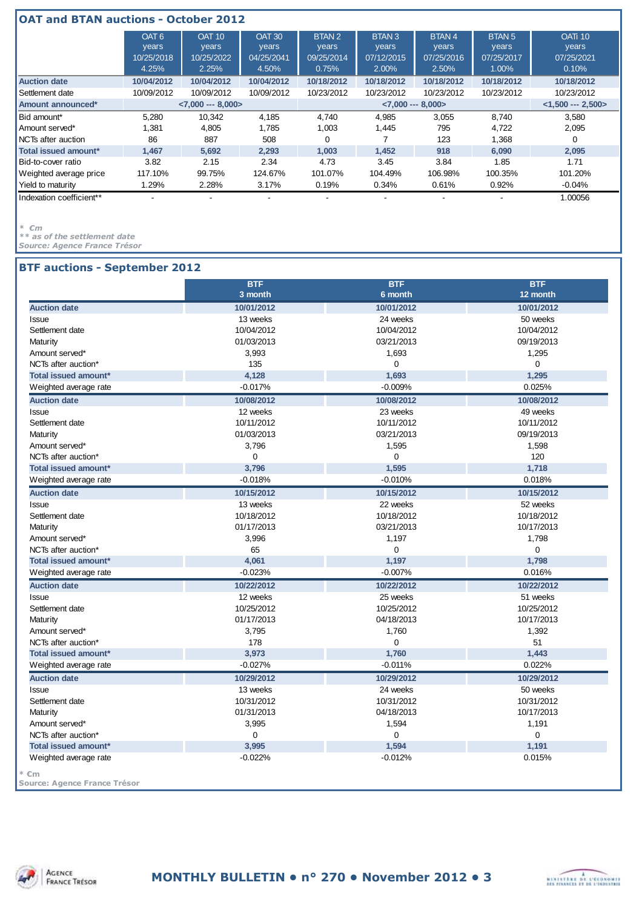| <b>OAT and BTAN auctions - October 2012</b> |                                                  |                                               |                                               |                                                   |                                                   |                                              |                                               |                                                       |
|---------------------------------------------|--------------------------------------------------|-----------------------------------------------|-----------------------------------------------|---------------------------------------------------|---------------------------------------------------|----------------------------------------------|-----------------------------------------------|-------------------------------------------------------|
|                                             | OAT <sub>6</sub><br>years<br>10/25/2018<br>4.25% | <b>OAT 10</b><br>years<br>10/25/2022<br>2.25% | <b>OAT 30</b><br>years<br>04/25/2041<br>4.50% | BTAN <sub>2</sub><br>years<br>09/25/2014<br>0.75% | BTAN <sub>3</sub><br>years<br>07/12/2015<br>2.00% | <b>BTAN4</b><br>years<br>07/25/2016<br>2.50% | <b>BTAN 5</b><br>years<br>07/25/2017<br>1.00% | <b>OATi 10</b><br><b>years</b><br>07/25/2021<br>0.10% |
| <b>Auction date</b>                         | 10/04/2012                                       | 10/04/2012                                    | 10/04/2012                                    | 10/18/2012                                        | 10/18/2012                                        | 10/18/2012                                   | 10/18/2012                                    | 10/18/2012                                            |
| Settlement date                             | 10/09/2012                                       | 10/09/2012                                    | 10/09/2012                                    | 10/23/2012                                        | 10/23/2012                                        | 10/23/2012                                   | 10/23/2012                                    | 10/23/2012                                            |
| Amount announced*                           |                                                  | $< 7,000$ --- 8,000>                          |                                               |                                                   | $< 7,000$ --- 8,000>                              |                                              |                                               | $<$ 1,500 --- 2,500>                                  |
| Bid amount*                                 | 5.280                                            | 10.342                                        | 4,185                                         | 4.740                                             | 4,985                                             | 3,055                                        | 8,740                                         | 3,580                                                 |
| Amount served*                              | 1.381                                            | 4.805                                         | 1.785                                         | 1,003                                             | 1.445                                             | 795                                          | 4,722                                         | 2,095                                                 |
| NCTs after auction                          | 86                                               | 887                                           | 508                                           | 0                                                 |                                                   | 123                                          | 1.368                                         |                                                       |
| Total issued amount*                        | 1.467                                            | 5,692                                         | 2,293                                         | 1,003                                             | 1.452                                             | 918                                          | 6.090                                         | 2,095                                                 |
| Bid-to-cover ratio                          | 3.82                                             | 2.15                                          | 2.34                                          | 4.73                                              | 3.45                                              | 3.84                                         | 1.85                                          | 1.71                                                  |
| Weighted average price                      | 117.10%                                          | 99.75%                                        | 124.67%                                       | 101.07%                                           | 104.49%                                           | 106.98%                                      | 100.35%                                       | 101.20%                                               |
| Yield to maturity                           | 1.29%                                            | 2.28%                                         | 3.17%                                         | 0.19%                                             | 0.34%                                             | 0.61%                                        | 0.92%                                         | -0.04%                                                |
| Indexation coefficient**                    |                                                  |                                               |                                               |                                                   |                                                   |                                              |                                               | 1.00056                                               |

*\* €m*

*\*\* as of the settlement date*

*Source: Agence France Trésor*

## **BTF auctions - September 2012**

| 10/01/2012<br>10/01/2012<br>13 weeks<br>24 weeks<br>10/04/2012<br>10/04/2012<br>01/03/2013<br>03/21/2013<br>3,993<br>1,693<br>135<br>$\mathbf 0$<br>4,128<br>1,693<br>$-0.017%$<br>$-0.009%$ | 10/01/2012<br>50 weeks<br>10/04/2012<br>09/19/2013<br>1,295                                                                                             |
|----------------------------------------------------------------------------------------------------------------------------------------------------------------------------------------------|---------------------------------------------------------------------------------------------------------------------------------------------------------|
|                                                                                                                                                                                              |                                                                                                                                                         |
|                                                                                                                                                                                              |                                                                                                                                                         |
|                                                                                                                                                                                              |                                                                                                                                                         |
|                                                                                                                                                                                              |                                                                                                                                                         |
|                                                                                                                                                                                              |                                                                                                                                                         |
|                                                                                                                                                                                              | $\mathbf 0$                                                                                                                                             |
|                                                                                                                                                                                              | 1,295                                                                                                                                                   |
|                                                                                                                                                                                              | 0.025%                                                                                                                                                  |
| 10/08/2012<br>10/08/2012                                                                                                                                                                     | 10/08/2012                                                                                                                                              |
| 12 weeks<br>23 weeks                                                                                                                                                                         | 49 weeks                                                                                                                                                |
| 10/11/2012<br>10/11/2012                                                                                                                                                                     | 10/11/2012                                                                                                                                              |
| 01/03/2013<br>03/21/2013                                                                                                                                                                     | 09/19/2013                                                                                                                                              |
| 3,796<br>1,595                                                                                                                                                                               | 1,598                                                                                                                                                   |
| 0<br>$\mathbf 0$                                                                                                                                                                             | 120                                                                                                                                                     |
| 3,796<br>1,595                                                                                                                                                                               | 1,718                                                                                                                                                   |
| $-0.010%$<br>$-0.018%$                                                                                                                                                                       | 0.018%                                                                                                                                                  |
| 10/15/2012<br>10/15/2012                                                                                                                                                                     | 10/15/2012                                                                                                                                              |
| 22 weeks<br>13 weeks                                                                                                                                                                         | 52 weeks                                                                                                                                                |
| 10/18/2012<br>10/18/2012                                                                                                                                                                     | 10/18/2012                                                                                                                                              |
| 01/17/2013<br>03/21/2013                                                                                                                                                                     | 10/17/2013                                                                                                                                              |
| 3,996<br>1,197                                                                                                                                                                               | 1,798                                                                                                                                                   |
| 65<br>$\mathbf 0$                                                                                                                                                                            | $\mathbf 0$                                                                                                                                             |
| 4,061<br>1.197                                                                                                                                                                               | 1,798                                                                                                                                                   |
| $-0.023%$<br>$-0.007%$                                                                                                                                                                       | 0.016%                                                                                                                                                  |
| 10/22/2012                                                                                                                                                                                   | 10/22/2012                                                                                                                                              |
| 25 weeks                                                                                                                                                                                     | 51 weeks                                                                                                                                                |
| 10/25/2012                                                                                                                                                                                   | 10/25/2012                                                                                                                                              |
| 04/18/2013                                                                                                                                                                                   | 10/17/2013                                                                                                                                              |
| 1,760                                                                                                                                                                                        | 1,392                                                                                                                                                   |
| $\Omega$                                                                                                                                                                                     | 51                                                                                                                                                      |
| 1,760                                                                                                                                                                                        | 1,443                                                                                                                                                   |
| $-0.011%$                                                                                                                                                                                    | 0.022%                                                                                                                                                  |
| 10/29/2012                                                                                                                                                                                   | 10/29/2012                                                                                                                                              |
| 24 weeks                                                                                                                                                                                     | 50 weeks                                                                                                                                                |
| 10/31/2012                                                                                                                                                                                   | 10/31/2012                                                                                                                                              |
|                                                                                                                                                                                              | 10/17/2013                                                                                                                                              |
| 04/18/2013                                                                                                                                                                                   | 1,191                                                                                                                                                   |
| 1,594                                                                                                                                                                                        | 0                                                                                                                                                       |
| $\mathbf 0$<br>$\mathbf 0$                                                                                                                                                                   |                                                                                                                                                         |
| 3,995<br>1,594                                                                                                                                                                               | 1,191                                                                                                                                                   |
|                                                                                                                                                                                              | 10/22/2012<br>12 weeks<br>10/25/2012<br>01/17/2013<br>3,795<br>178<br>3,973<br>$-0.027%$<br>10/29/2012<br>13 weeks<br>10/31/2012<br>01/31/2013<br>3,995 |



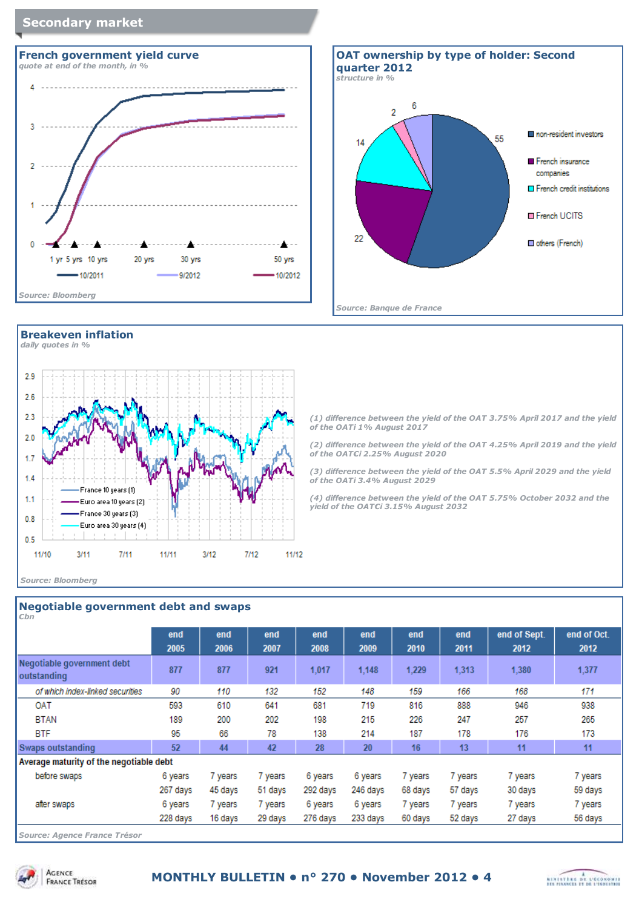## **Secondary market**



# **Breakeven inflation**







*(1) difference between the yield of the OAT 3.75% April 2017 and the yield of the OATi 1% August 2017*

*(2) difference between the yield of the OAT 4.25% April 2019 and the yield of the OAT€i 2.25% August 2020*

*(3) difference between the yield of the OAT 5.5% April 2029 and the yield of the OATi 3.4% August 2029*

*(4) difference between the yield of the OAT 5.75% October 2032 and the yield of the OAT€i 3.15% August 2032*

#### *Source: Bloomberg*

## **Negotiable government debt and swaps**

| $\epsilon$ bn                             |          |         |         |          |          |         |         |              |             |
|-------------------------------------------|----------|---------|---------|----------|----------|---------|---------|--------------|-------------|
|                                           | end      | end     | end     | end      | end      | end     | end     | end of Sept. | end of Oct. |
|                                           | 2005     | 2006    | 2007    | 2008     | 2009     | 2010    | 2011    | 2012         | 2012        |
| Negotiable government debt<br>outstanding | 877      | 877     | 921     | 1,017    | 1.148    | 1.229   | 1.313   | 1,380        | 1.377       |
| of which index-linked securities          | 90       | 110     | 132     | 152      | 148      | 159     | 166     | 168          | 171         |
| OAT                                       | 593      | 610     | 641     | 681      | 719      | 816     | 888     | 946          | 938         |
| <b>BTAN</b>                               | 189      | 200     | 202     | 198      | 215      | 226     | 247     | 257          | 265         |
| <b>BTF</b>                                | 95       | 66      | 78      | 138      | 214      | 187     | 178     | 176          | 173         |
| Swaps outstanding                         | 52       | 44      | 42      | 28       | 20       | 16      | 13      | 11           | 11          |
| Average maturity of the negotiable debt   |          |         |         |          |          |         |         |              |             |
| before swaps                              | 6 years  | 7 years | 7 years | 6 years  | 6 years  | 7 years | 7 years | 7 years      | 7 years     |
|                                           | 267 days | 45 days | 51 days | 292 days | 246 days | 68 days | 57 days | 30 days      | 59 days     |
| after swaps                               | 6 years  | 7 years | 7 years | 6 years  | 6 years  | 7 years | 7 years | 7 years      | 7 years     |
|                                           | 228 days | 16 days | 29 days | 276 days | 233 days | 60 days | 52 days | 27 days      | 56 days     |
|                                           |          |         |         |          |          |         |         |              |             |

*Source: Agence France Trésor*



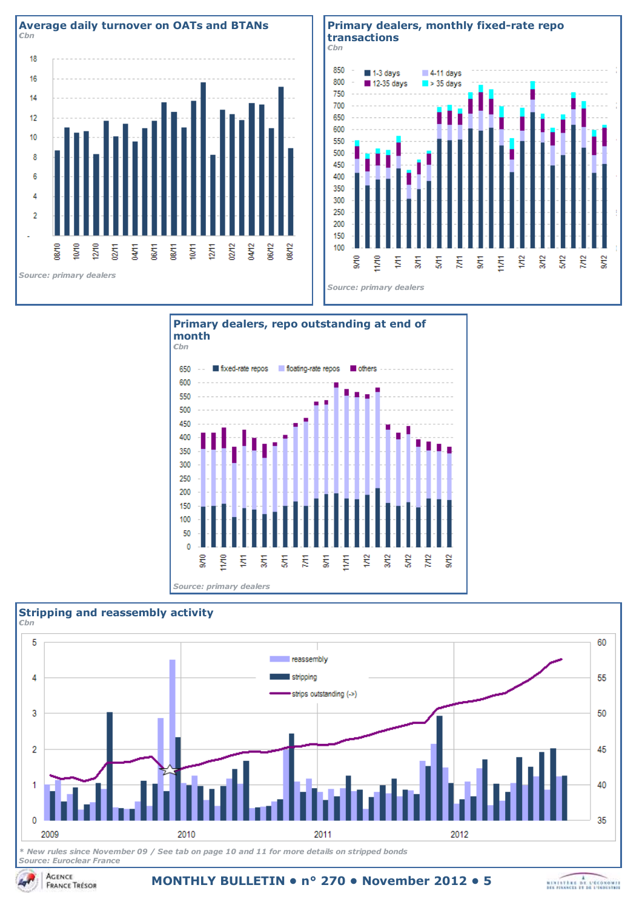







*Source: Euroclear France*

**MONTHLY BULLETIN • n° 270 • November 2012 • 5**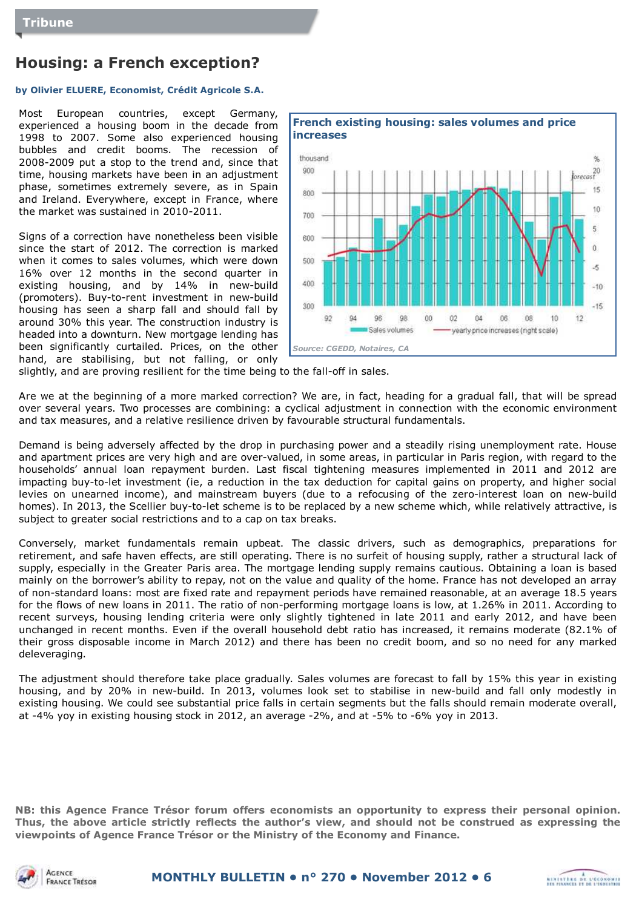# **Housing: a French exception?**

## **by Olivier ELUERE, Economist, Crédit Agricole S.A.**

Most European countries, except Germany, experienced a housing boom in the decade from 1998 to 2007. Some also experienced housing bubbles and credit booms. The recession of 2008-2009 put a stop to the trend and, since that time, housing markets have been in an adjustment phase, sometimes extremely severe, as in Spain and Ireland. Everywhere, except in France, where the market was sustained in 2010-2011.

Signs of a correction have nonetheless been visible since the start of 2012. The correction is marked when it comes to sales volumes, which were down 16% over 12 months in the second quarter in existing housing, and by 14% in new-build (promoters). Buy-to-rent investment in new-build housing has seen a sharp fall and should fall by around 30% this year. The construction industry is headed into a downturn. New mortgage lending has been significantly curtailed. Prices, on the other hand, are stabilising, but not falling, or only



slightly, and are proving resilient for the time being to the fall-off in sales.

Are we at the beginning of a more marked correction? We are, in fact, heading for a gradual fall, that will be spread over several years. Two processes are combining: a cyclical adjustment in connection with the economic environment and tax measures, and a relative resilience driven by favourable structural fundamentals.

Demand is being adversely affected by the drop in purchasing power and a steadily rising unemployment rate. House and apartment prices are very high and are over-valued, in some areas, in particular in Paris region, with regard to the households' annual loan repayment burden. Last fiscal tightening measures implemented in 2011 and 2012 are impacting buy-to-let investment (ie, a reduction in the tax deduction for capital gains on property, and higher social levies on unearned income), and mainstream buyers (due to a refocusing of the zero-interest loan on new-build homes). In 2013, the Scellier buy-to-let scheme is to be replaced by a new scheme which, while relatively attractive, is subject to greater social restrictions and to a cap on tax breaks.

Conversely, market fundamentals remain upbeat. The classic drivers, such as demographics, preparations for retirement, and safe haven effects, are still operating. There is no surfeit of housing supply, rather a structural lack of supply, especially in the Greater Paris area. The mortgage lending supply remains cautious. Obtaining a loan is based mainly on the borrower's ability to repay, not on the value and quality of the home. France has not developed an array of non-standard loans: most are fixed rate and repayment periods have remained reasonable, at an average 18.5 years for the flows of new loans in 2011. The ratio of non-performing mortgage loans is low, at 1.26% in 2011. According to recent surveys, housing lending criteria were only slightly tightened in late 2011 and early 2012, and have been unchanged in recent months. Even if the overall household debt ratio has increased, it remains moderate (82.1% of their gross disposable income in March 2012) and there has been no credit boom, and so no need for any marked deleveraging.

The adjustment should therefore take place gradually. Sales volumes are forecast to fall by 15% this year in existing housing, and by 20% in new-build. In 2013, volumes look set to stabilise in new-build and fall only modestly in existing housing. We could see substantial price falls in certain segments but the falls should remain moderate overall, at -4% yoy in existing housing stock in 2012, an average -2%, and at -5% to -6% yoy in 2013.

**NB: this Agence France Trésor forum offers economists an opportunity to express their personal opinion. Thus, the above article strictly reflects the author's view, and should not be construed as expressing the viewpoints of Agence France Trésor or the Ministry of the Economy and Finance.**



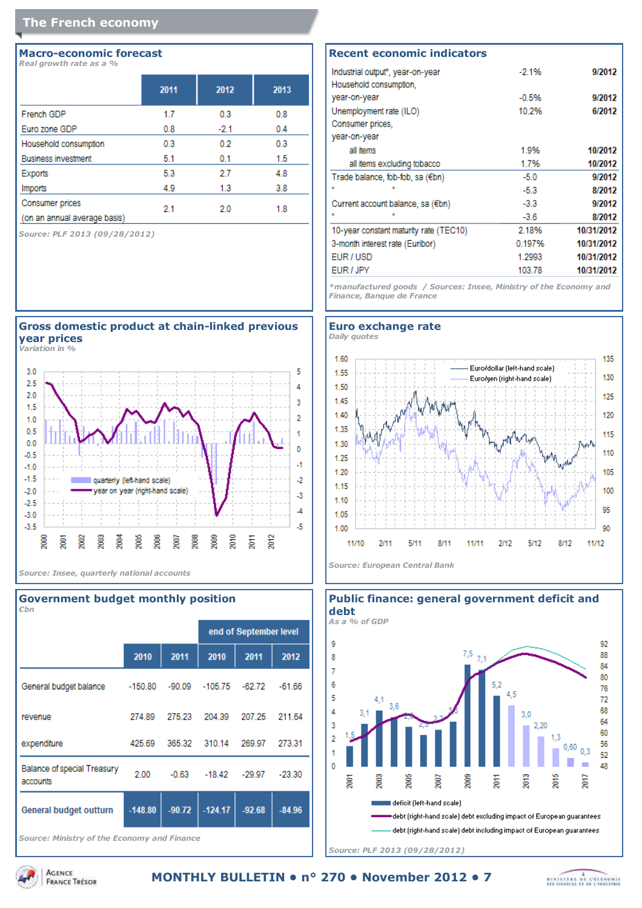## **The French economy**

#### **Macro-economic forecast** *Real growth rate as a %*

|                              | 2011 | 2012   | 2013 |
|------------------------------|------|--------|------|
| French GDP                   | 1.7  | 0.3    | 0.8  |
| Euro zone GDP                | 0.8  | $-2.1$ | 0.4  |
| Household consumption        | 0.3  | 0.2    | 0.3  |
| <b>Business investment</b>   | 5.1  | 0.1    | 1.5  |
| Exports                      | 5.3  | 2.7    | 4.8  |
| Imports                      | 4.9  | 1.3    | 3.8  |
| <b>Consumer prices</b>       | 2.1  | 2.0    | 1.8  |
| (on an annual average basis) |      |        |      |

*Source: PLF 2013 (09/28/2012)*



**Gross domestic product at chain-linked previous**

*Source: Insee, quarterly national accounts*

#### **Government budget monthly position** *€bn*

|                                                |           |          |                   | end of September level |          |
|------------------------------------------------|-----------|----------|-------------------|------------------------|----------|
|                                                | 2010      | 2011     | 2010              | 2011                   | 2012     |
| General budget balance                         | $-150.80$ |          | $-90.09 - 105.75$ | $-62.72$               | $-61.66$ |
| revenue                                        | 274.89    | 275.23   | 204.39            | 207.25                 | 211.64   |
| expenditure                                    | 425.69    | 365.32   | 310.14            | 269.97                 | 273.31   |
| <b>Balance of special Treasury</b><br>accounts | 2.00      | $-0.63$  | $-18.42$          | $-29.97$               | $-23.30$ |
| General budget outturn                         | $-148.80$ | $-90.72$ | $-124.17$         | $-92.68$               | $-84.96$ |
|                                                |           |          |                   |                        |          |

*Source: Ministry of the Economy and Finance*

#### **Recent economic indicators** Industrial output\*, year-on-year 9/2012  $-2.1%$ Household consumption, year-on-year  $-0.5%$ 9/2012 Unemployment rate (ILO) 6/2012 10.2% Consumer prices, year-on-year all items 1.9% 10/2012 all items excluding tobacco 1.7% 10/2012 Trade balance, fob-fob, sa (€bn)  $-50$ 9/2012  $-5.3$ 8/2012 9/2012  $-3.3$ Current account balance, sa (€bn) 8/2012  $\alpha$  $-3.6$ 10-year constant maturity rate (TEC10) 2.18% 10/31/2012

*\*manufactured goods / Sources: Insee, Ministry of the Economy and Finance, Banque de France*

3-month interest rate (Euribor)

EUR/USD

EUR / JPY

10/31/2012

10/31/2012

10/31/2012

0.197%

1.2993

103.78





*Source: PLF 2013 (09/28/2012)*

**MONTHLY BULLETIN • n° 270 • November 2012 • 7FRANCE TRÉSOR** 



**ACENCE**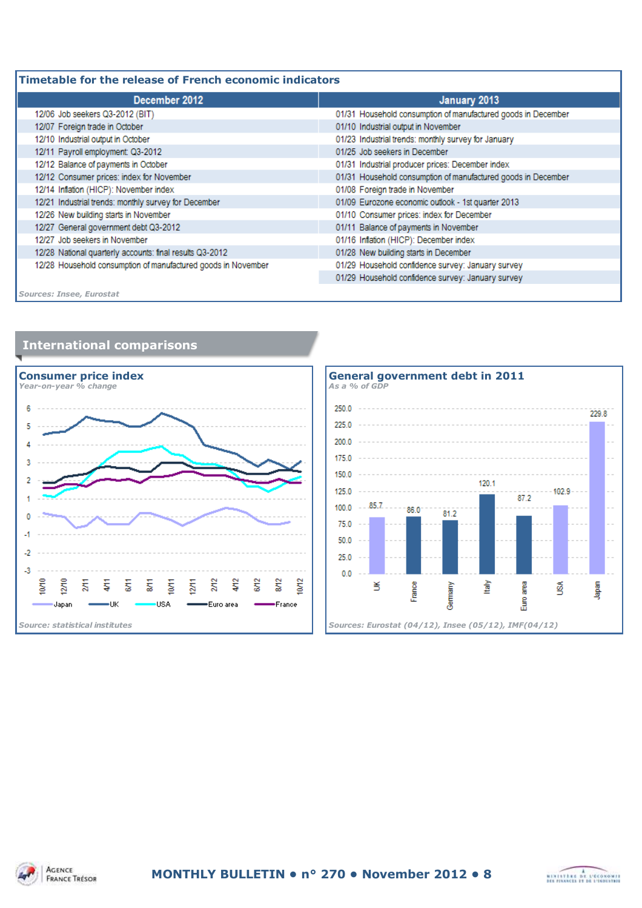| Timetable for the release of French economic indicators       |                                                               |  |  |  |
|---------------------------------------------------------------|---------------------------------------------------------------|--|--|--|
| December 2012                                                 | January 2013                                                  |  |  |  |
| 12/06 Job seekers Q3-2012 (BIT)                               | 01/31 Household consumption of manufactured goods in December |  |  |  |
| 12/07 Foreign trade in October                                | 01/10 Industrial output in November                           |  |  |  |
| 12/10 Industrial output in October                            | 01/23 Industrial trends: monthly survey for January           |  |  |  |
| 12/11 Payroll employment: Q3-2012                             | 01/25 Job seekers in December                                 |  |  |  |
| 12/12 Balance of payments in October                          | 01/31 Industrial producer prices: December index              |  |  |  |
| 12/12 Consumer prices: index for November                     | 01/31 Household consumption of manufactured goods in December |  |  |  |
| 12/14 Inflation (HICP): November index                        | 01/08 Foreign trade in November                               |  |  |  |
| 12/21 Industrial trends: monthly survey for December          | 01/09 Eurozone economic outlook - 1st quarter 2013            |  |  |  |
| 12/26 New building starts in November                         | 01/10 Consumer prices: index for December                     |  |  |  |
| 12/27 General government debt Q3-2012                         | 01/11 Balance of payments in November                         |  |  |  |
| 12/27 Job seekers in November                                 | 01/16 Inflation (HICP): December index                        |  |  |  |
| 12/28 National quarterly accounts: final results Q3-2012      | 01/28 New building starts in December                         |  |  |  |
| 12/28 Household consumption of manufactured goods in November | 01/29 Household confidence survey: January survey             |  |  |  |
|                                                               | 01/29 Household confidence survey: January survey             |  |  |  |
| <b>Sources: Insee, Eurostat</b>                               |                                                               |  |  |  |









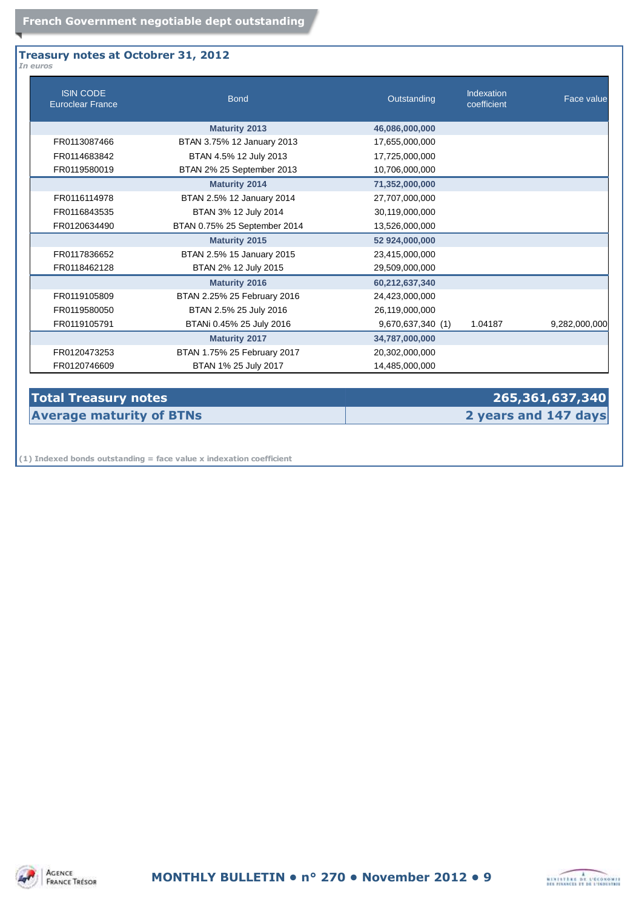#### **Treasury notes at Octobrer 31, 2012** *In euros*

| <b>ISIN CODE</b><br><b>Euroclear France</b> | <b>Bond</b>                  | Outstanding       | Indexation<br>coefficient | Face value    |
|---------------------------------------------|------------------------------|-------------------|---------------------------|---------------|
|                                             | <b>Maturity 2013</b>         | 46,086,000,000    |                           |               |
| FR0113087466                                | BTAN 3.75% 12 January 2013   | 17,655,000,000    |                           |               |
| FR0114683842                                | BTAN 4.5% 12 July 2013       | 17,725,000,000    |                           |               |
| FR0119580019                                | BTAN 2% 25 September 2013    | 10,706,000,000    |                           |               |
|                                             | <b>Maturity 2014</b>         | 71,352,000,000    |                           |               |
| FR0116114978                                | BTAN 2.5% 12 January 2014    | 27,707,000,000    |                           |               |
| FR0116843535                                | BTAN 3% 12 July 2014         | 30,119,000,000    |                           |               |
| FR0120634490                                | BTAN 0.75% 25 September 2014 | 13,526,000,000    |                           |               |
|                                             | <b>Maturity 2015</b>         | 52 924,000,000    |                           |               |
| FR0117836652                                | BTAN 2.5% 15 January 2015    | 23,415,000,000    |                           |               |
| FR0118462128                                | BTAN 2% 12 July 2015         | 29,509,000,000    |                           |               |
|                                             | <b>Maturity 2016</b>         | 60,212,637,340    |                           |               |
| FR0119105809                                | BTAN 2.25% 25 February 2016  | 24,423,000,000    |                           |               |
| FR0119580050                                | BTAN 2.5% 25 July 2016       | 26,119,000,000    |                           |               |
| FR0119105791                                | BTANi 0.45% 25 July 2016     | 9,670,637,340 (1) | 1.04187                   | 9,282,000,000 |
|                                             | <b>Maturity 2017</b>         | 34,787,000,000    |                           |               |
| FR0120473253                                | BTAN 1.75% 25 February 2017  | 20,302,000,000    |                           |               |
| FR0120746609                                | BTAN 1% 25 July 2017         | 14,485,000,000    |                           |               |

# **Total Treasury notes 265,361,637,340 Average maturity of BTNs 2 years and 147 days**

**(1) Indexed bonds outstanding = face value x indexation coefficient**



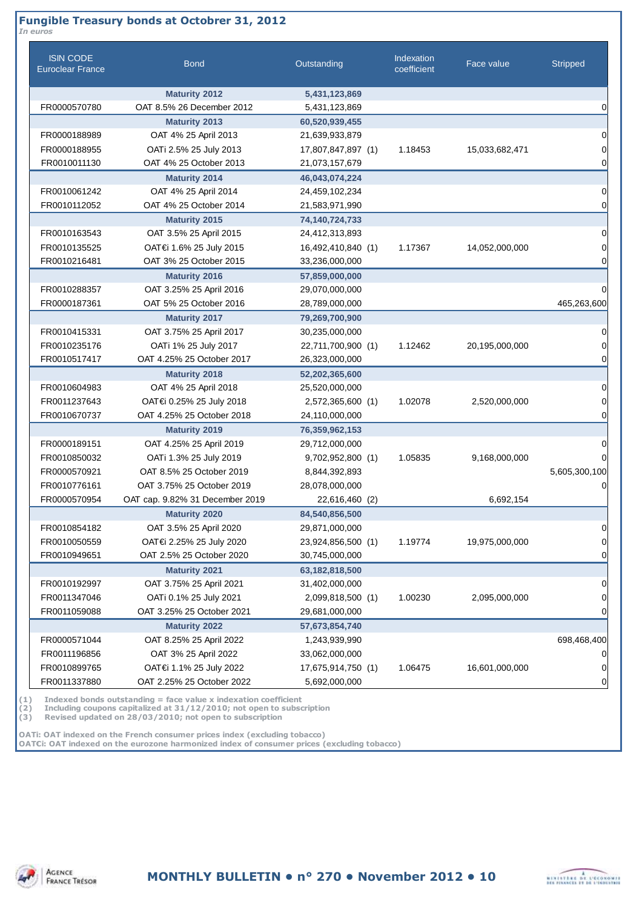## **Fungible Treasury bonds at Octobrer 31, 2012**

| <b>ISIN CODE</b><br><b>Euroclear France</b> | <b>Bond</b>                     | Outstanding        | Indexation<br>coefficient | Face value     | <b>Stripped</b> |
|---------------------------------------------|---------------------------------|--------------------|---------------------------|----------------|-----------------|
|                                             | <b>Maturity 2012</b>            | 5,431,123,869      |                           |                |                 |
| FR0000570780                                | OAT 8.5% 26 December 2012       | 5,431,123,869      |                           |                |                 |
|                                             | <b>Maturity 2013</b>            | 60,520,939,455     |                           |                |                 |
| FR0000188989                                | OAT 4% 25 April 2013            | 21,639,933,879     |                           |                |                 |
| FR0000188955                                | OATi 2.5% 25 July 2013          | 17,807,847,897 (1) | 1.18453                   | 15,033,682,471 |                 |
| FR0010011130                                | OAT 4% 25 October 2013          | 21,073,157,679     |                           |                |                 |
|                                             | <b>Maturity 2014</b>            | 46,043,074,224     |                           |                |                 |
| FR0010061242                                | OAT 4% 25 April 2014            | 24,459,102,234     |                           |                |                 |
| FR0010112052                                | OAT 4% 25 October 2014          | 21,583,971,990     |                           |                |                 |
|                                             | <b>Maturity 2015</b>            | 74,140,724,733     |                           |                |                 |
| FR0010163543                                | OAT 3.5% 25 April 2015          | 24,412,313,893     |                           |                |                 |
| FR0010135525                                | OAT€i 1.6% 25 July 2015         | 16,492,410,840 (1) | 1.17367                   | 14,052,000,000 |                 |
| FR0010216481                                | OAT 3% 25 October 2015          | 33,236,000,000     |                           |                |                 |
|                                             | <b>Maturity 2016</b>            | 57,859,000,000     |                           |                |                 |
| FR0010288357                                | OAT 3.25% 25 April 2016         | 29,070,000,000     |                           |                |                 |
| FR0000187361                                | OAT 5% 25 October 2016          | 28,789,000,000     |                           |                | 465,263,600     |
|                                             | <b>Maturity 2017</b>            | 79,269,700,900     |                           |                |                 |
| FR0010415331                                | OAT 3.75% 25 April 2017         | 30,235,000,000     |                           |                |                 |
| FR0010235176                                | OATi 1% 25 July 2017            | 22,711,700,900 (1) | 1.12462                   | 20,195,000,000 |                 |
| FR0010517417                                | OAT 4.25% 25 October 2017       | 26,323,000,000     |                           |                |                 |
|                                             | <b>Maturity 2018</b>            | 52,202,365,600     |                           |                |                 |
| FR0010604983                                | OAT 4% 25 April 2018            | 25,520,000,000     |                           |                |                 |
| FR0011237643                                | OAT€i 0.25% 25 July 2018        | 2,572,365,600 (1)  | 1.02078                   | 2,520,000,000  |                 |
| FR0010670737                                | OAT 4.25% 25 October 2018       | 24,110,000,000     |                           |                |                 |
|                                             | <b>Maturity 2019</b>            | 76,359,962,153     |                           |                |                 |
| FR0000189151                                | OAT 4.25% 25 April 2019         | 29,712,000,000     |                           |                |                 |
| FR0010850032                                | OATi 1.3% 25 July 2019          | 9,702,952,800 (1)  | 1.05835                   | 9,168,000,000  |                 |
| FR0000570921                                | OAT 8.5% 25 October 2019        | 8,844,392,893      |                           |                | 5,605,300,100   |
| FR0010776161                                | OAT 3.75% 25 October 2019       | 28,078,000,000     |                           |                |                 |
| FR0000570954                                | OAT cap. 9.82% 31 December 2019 | 22,616,460 (2)     |                           | 6,692,154      |                 |
|                                             | <b>Maturity 2020</b>            | 84,540,856,500     |                           |                |                 |
| FR0010854182                                | OAT 3.5% 25 April 2020          | 29,871,000,000     |                           |                |                 |
| FR0010050559                                | OAT€i 2.25% 25 July 2020        | 23,924,856,500 (1) | 1.19774                   | 19,975,000,000 |                 |
| FR0010949651                                | OAT 2.5% 25 October 2020        | 30,745,000,000     |                           |                |                 |
|                                             | <b>Maturity 2021</b>            | 63,182,818,500     |                           |                |                 |
| FR0010192997                                | OAT 3.75% 25 April 2021         | 31,402,000,000     |                           |                |                 |
| FR0011347046                                | OATi 0.1% 25 July 2021          | 2,099,818,500 (1)  | 1.00230                   | 2,095,000,000  |                 |
| FR0011059088                                | OAT 3.25% 25 October 2021       | 29,681,000,000     |                           |                |                 |
|                                             | <b>Maturity 2022</b>            | 57,673,854,740     |                           |                |                 |
| FR0000571044                                | OAT 8.25% 25 April 2022         | 1,243,939,990      |                           |                | 698,468,400     |
| FR0011196856                                | OAT 3% 25 April 2022            | 33,062,000,000     |                           |                |                 |
| FR0010899765                                | OAT€i 1.1% 25 July 2022         | 17,675,914,750 (1) | 1.06475                   | 16,601,000,000 |                 |
| FR0011337880                                | OAT 2.25% 25 October 2022       | 5,692,000,000      |                           |                |                 |

**(1) Indexed bonds outstanding = face value x indexation coefficient**

**(2) Including coupons capitalized at 31/12/2010; not open to subscription**

**(3) Revised updated on 28/03/2010; not open to subscription**

**OATi: OAT indexed on the French consumer prices index (excluding tobacco) OAT€i: OAT indexed on the eurozone harmonized index of consumer prices (excluding tobacco)**

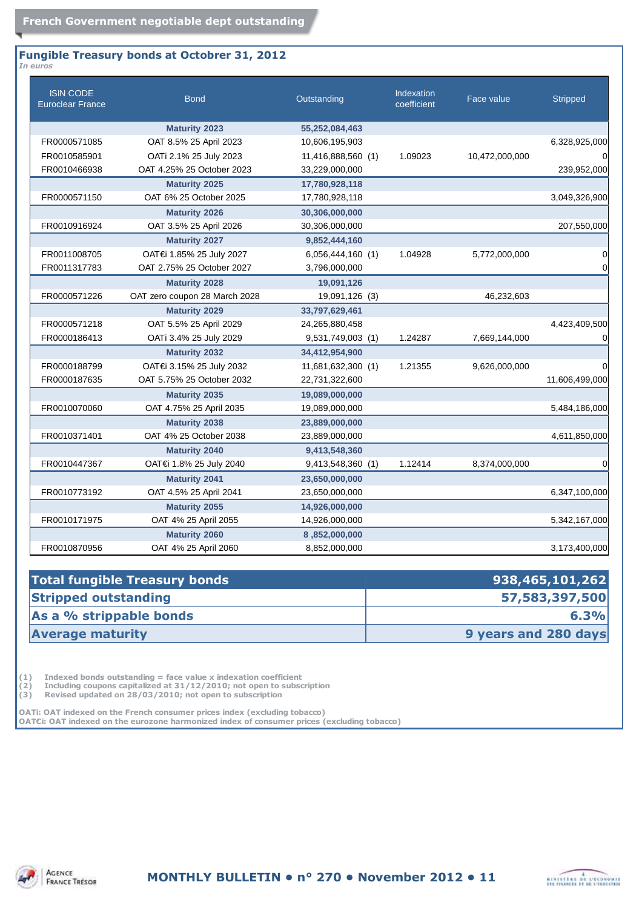#### **Fungible Treasury bonds at Octobrer 31, 2012** *In euros*

| <b>ISIN CODE</b><br><b>Euroclear France</b> | <b>Bond</b>                   | Outstanding        | <b>Indexation</b><br>coefficient | Face value     | <b>Stripped</b> |
|---------------------------------------------|-------------------------------|--------------------|----------------------------------|----------------|-----------------|
|                                             | <b>Maturity 2023</b>          | 55,252,084,463     |                                  |                |                 |
| FR0000571085                                | OAT 8.5% 25 April 2023        | 10,606,195,903     |                                  |                | 6,328,925,000   |
| FR0010585901                                | OATi 2.1% 25 July 2023        | 11,416,888,560 (1) | 1.09023                          | 10,472,000,000 | $\Omega$        |
| FR0010466938                                | OAT 4.25% 25 October 2023     | 33,229,000,000     |                                  |                | 239,952,000     |
|                                             | <b>Maturity 2025</b>          | 17,780,928,118     |                                  |                |                 |
| FR0000571150                                | OAT 6% 25 October 2025        | 17,780,928,118     |                                  |                | 3,049,326,900   |
|                                             | <b>Maturity 2026</b>          | 30,306,000,000     |                                  |                |                 |
| FR0010916924                                | OAT 3.5% 25 April 2026        | 30,306,000,000     |                                  |                | 207,550,000     |
|                                             | <b>Maturity 2027</b>          | 9,852,444,160      |                                  |                |                 |
| FR0011008705                                | OAT€i 1.85% 25 July 2027      | 6,056,444,160 (1)  | 1.04928                          | 5,772,000,000  | 0               |
| FR0011317783                                | OAT 2.75% 25 October 2027     | 3,796,000,000      |                                  |                | 0               |
|                                             | <b>Maturity 2028</b>          | 19,091,126         |                                  |                |                 |
| FR0000571226                                | OAT zero coupon 28 March 2028 | 19,091,126 (3)     |                                  | 46,232,603     |                 |
|                                             | <b>Maturity 2029</b>          | 33,797,629,461     |                                  |                |                 |
| FR0000571218                                | OAT 5.5% 25 April 2029        | 24,265,880,458     |                                  |                | 4,423,409,500   |
| FR0000186413                                | OATi 3.4% 25 July 2029        | 9,531,749,003 (1)  | 1.24287                          | 7,669,144,000  | 0               |
|                                             | <b>Maturity 2032</b>          | 34,412,954,900     |                                  |                |                 |
| FR0000188799                                | OAT€i 3.15% 25 July 2032      | 11,681,632,300 (1) | 1.21355                          | 9,626,000,000  | 0               |
| FR0000187635                                | OAT 5.75% 25 October 2032     | 22,731,322,600     |                                  |                | 11,606,499,000  |
|                                             | <b>Maturity 2035</b>          | 19,089,000,000     |                                  |                |                 |
| FR0010070060                                | OAT 4.75% 25 April 2035       | 19,089,000,000     |                                  |                | 5,484,186,000   |
|                                             | <b>Maturity 2038</b>          | 23,889,000,000     |                                  |                |                 |
| FR0010371401                                | OAT 4% 25 October 2038        | 23,889,000,000     |                                  |                | 4,611,850,000   |
|                                             | <b>Maturity 2040</b>          | 9,413,548,360      |                                  |                |                 |
| FR0010447367                                | OAT€i 1.8% 25 July 2040       | 9,413,548,360 (1)  | 1.12414                          | 8,374,000,000  | 0               |
|                                             | <b>Maturity 2041</b>          | 23,650,000,000     |                                  |                |                 |
| FR0010773192                                | OAT 4.5% 25 April 2041        | 23,650,000,000     |                                  |                | 6,347,100,000   |
|                                             | <b>Maturity 2055</b>          | 14,926,000,000     |                                  |                |                 |
| FR0010171975                                | OAT 4% 25 April 2055          | 14,926,000,000     |                                  |                | 5,342,167,000   |
|                                             | <b>Maturity 2060</b>          | 8,852,000,000      |                                  |                |                 |
| FR0010870956                                | OAT 4% 25 April 2060          | 8,852,000,000      |                                  |                | 3,173,400,000   |

| 938,465,101,262      |
|----------------------|
| 57,583,397,500       |
| 6.3%                 |
| 9 years and 280 days |
|                      |

(1) Indexed bonds outstanding = face value x indexation coefficient<br>
(2) Including coupons capitalized at  $31/12/2010$ ; not open to subsc<br>
(3) Revised updated on 28/03/2010; not open to subscription **(2) Including coupons capitalized at 31/12/2010; not open to subscription**

**(3) Revised updated on 28/03/2010; not open to subscription**

**OATi: OAT indexed on the French consumer prices index (excluding tobacco) OAT€i: OAT indexed on the eurozone harmonized index of consumer prices (excluding tobacco)**